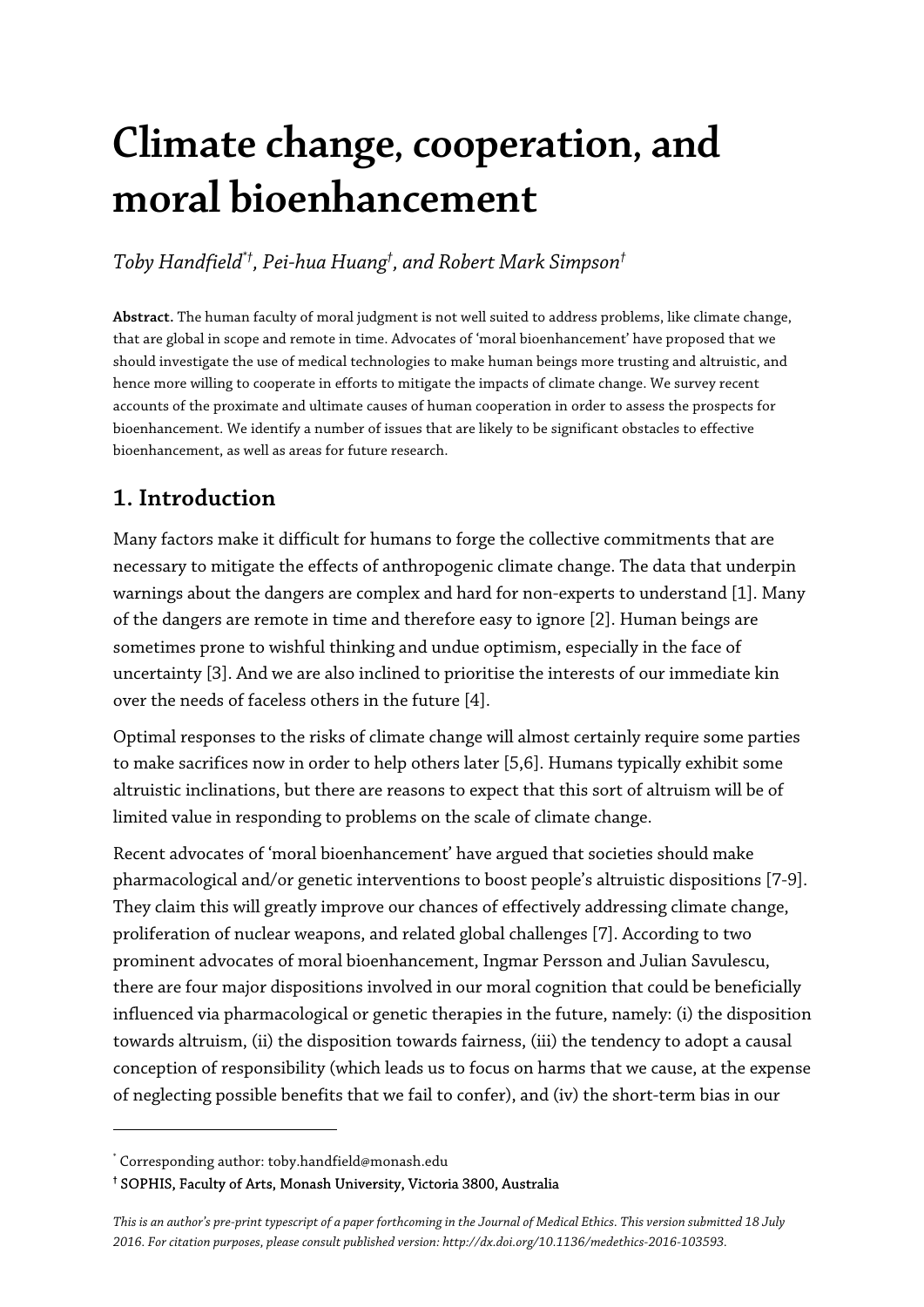# **Climate change, cooperation, and moral bioenhancement**

*Toby Handfield\*† , Pei-hua Huang† , and Robert Mark Simpson†*

**Abstract.** The human faculty of moral judgment is not well suited to address problems, like climate change, that are global in scope and remote in time. Advocates of 'moral bioenhancement' have proposed that we should investigate the use of medical technologies to make human beings more trusting and altruistic, and hence more willing to cooperate in efforts to mitigate the impacts of climate change. We survey recent accounts of the proximate and ultimate causes of human cooperation in order to assess the prospects for bioenhancement. We identify a number of issues that are likely to be significant obstacles to effective bioenhancement, as well as areas for future research.

# **1. Introduction**

Many factors make it difficult for humans to forge the collective commitments that are necessary to mitigate the effects of anthropogenic climate change. The data that underpin warnings about the dangers are complex and hard for non-experts to understand [1]. Many of the dangers are remote in time and therefore easy to ignore [2]. Human beings are sometimes prone to wishful thinking and undue optimism, especially in the face of uncertainty [3]. And we are also inclined to prioritise the interests of our immediate kin over the needs of faceless others in the future [4].

Optimal responses to the risks of climate change will almost certainly require some parties to make sacrifices now in order to help others later [5,6]. Humans typically exhibit some altruistic inclinations, but there are reasons to expect that this sort of altruism will be of limited value in responding to problems on the scale of climate change.

Recent advocates of 'moral bioenhancement' have argued that societies should make pharmacological and/or genetic interventions to boost people's altruistic dispositions [7-9]. They claim this will greatly improve our chances of effectively addressing climate change, proliferation of nuclear weapons, and related global challenges [7]. According to two prominent advocates of moral bioenhancement, Ingmar Persson and Julian Savulescu, there are four major dispositions involved in our moral cognition that could be beneficially influenced via pharmacological or genetic therapies in the future, namely: (i) the disposition towards altruism, (ii) the disposition towards fairness, (iii) the tendency to adopt a causal conception of responsibility (which leads us to focus on harms that we cause, at the expense of neglecting possible benefits that we fail to confer), and (iv) the short-term bias in our

 $\overline{a}$ 

† SOPHIS, Faculty of Arts, Monash University, Victoria 3800, Australia

<sup>\*</sup> Corresponding author: toby.handfield@monash.edu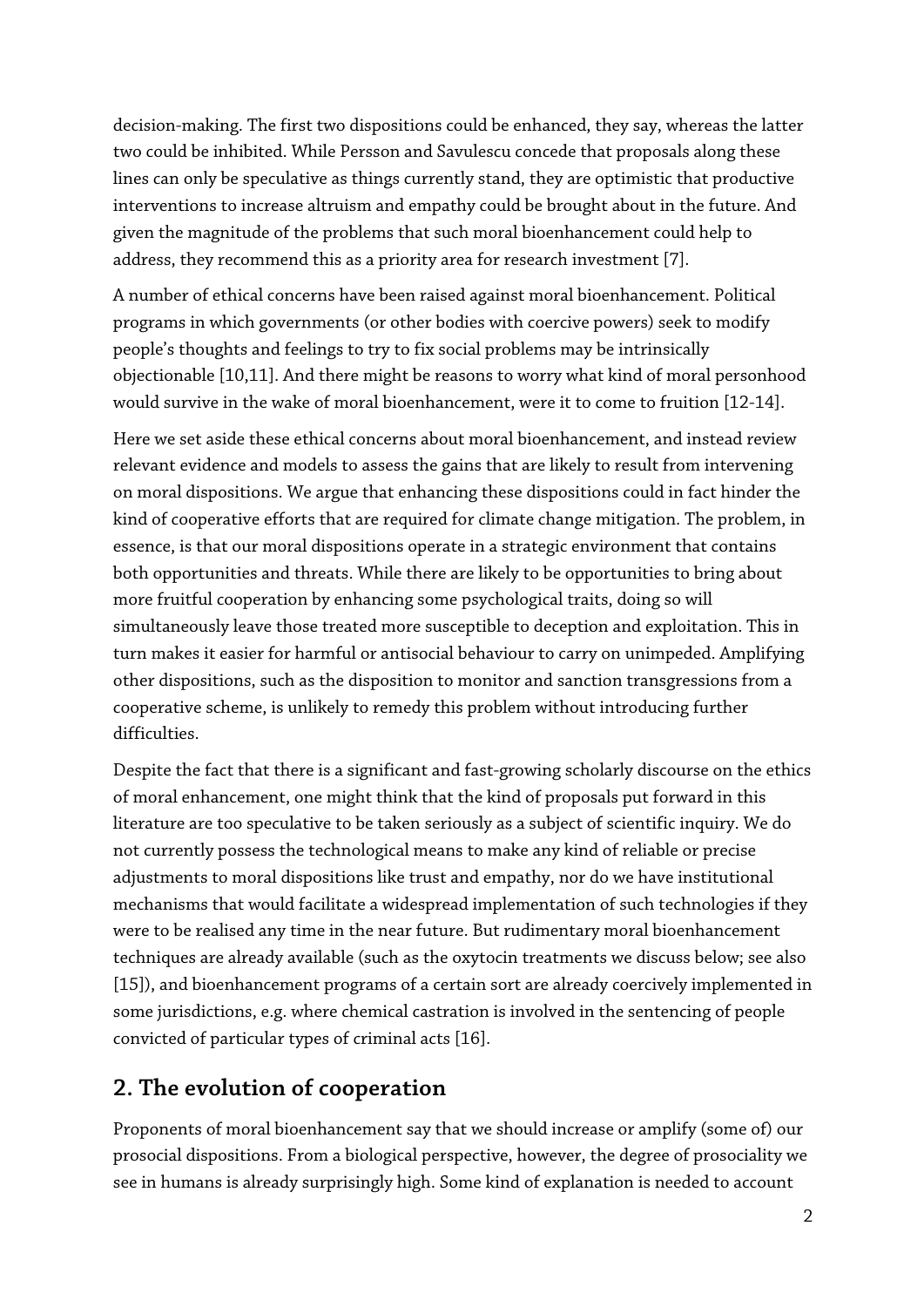decision-making. The first two dispositions could be enhanced, they say, whereas the latter two could be inhibited. While Persson and Savulescu concede that proposals along these lines can only be speculative as things currently stand, they are optimistic that productive interventions to increase altruism and empathy could be brought about in the future. And given the magnitude of the problems that such moral bioenhancement could help to address, they recommend this as a priority area for research investment [7].

A number of ethical concerns have been raised against moral bioenhancement. Political programs in which governments (or other bodies with coercive powers) seek to modify people's thoughts and feelings to try to fix social problems may be intrinsically objectionable [10,11]. And there might be reasons to worry what kind of moral personhood would survive in the wake of moral bioenhancement, were it to come to fruition [12-14].

Here we set aside these ethical concerns about moral bioenhancement, and instead review relevant evidence and models to assess the gains that are likely to result from intervening on moral dispositions. We argue that enhancing these dispositions could in fact hinder the kind of cooperative efforts that are required for climate change mitigation. The problem, in essence, is that our moral dispositions operate in a strategic environment that contains both opportunities and threats. While there are likely to be opportunities to bring about more fruitful cooperation by enhancing some psychological traits, doing so will simultaneously leave those treated more susceptible to deception and exploitation. This in turn makes it easier for harmful or antisocial behaviour to carry on unimpeded. Amplifying other dispositions, such as the disposition to monitor and sanction transgressions from a cooperative scheme, is unlikely to remedy this problem without introducing further difficulties.

Despite the fact that there is a significant and fast-growing scholarly discourse on the ethics of moral enhancement, one might think that the kind of proposals put forward in this literature are too speculative to be taken seriously as a subject of scientific inquiry. We do not currently possess the technological means to make any kind of reliable or precise adjustments to moral dispositions like trust and empathy, nor do we have institutional mechanisms that would facilitate a widespread implementation of such technologies if they were to be realised any time in the near future. But rudimentary moral bioenhancement techniques are already available (such as the oxytocin treatments we discuss below; see also [15]), and bioenhancement programs of a certain sort are already coercively implemented in some jurisdictions, e.g. where chemical castration is involved in the sentencing of people convicted of particular types of criminal acts [16].

# **2. The evolution of cooperation**

Proponents of moral bioenhancement say that we should increase or amplify (some of) our prosocial dispositions. From a biological perspective, however, the degree of prosociality we see in humans is already surprisingly high. Some kind of explanation is needed to account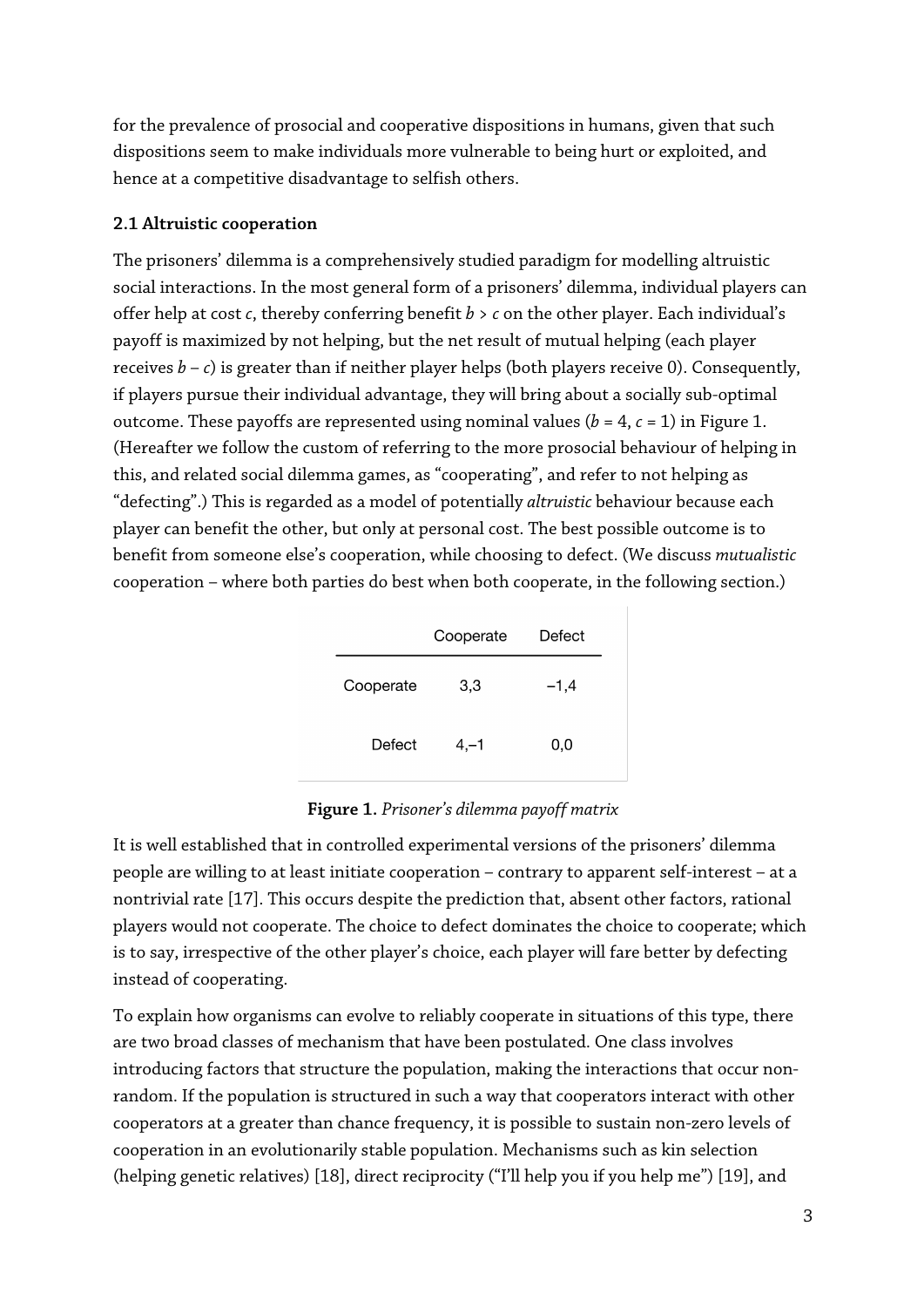for the prevalence of prosocial and cooperative dispositions in humans, given that such dispositions seem to make individuals more vulnerable to being hurt or exploited, and hence at a competitive disadvantage to selfish others.

#### **2.1 Altruistic cooperation**

The prisoners' dilemma is a comprehensively studied paradigm for modelling altruistic social interactions. In the most general form of a prisoners' dilemma, individual players can offer help at cost *c*, thereby conferring benefit *b* > *c* on the other player. Each individual's payoff is maximized by not helping, but the net result of mutual helping (each player receives  $b - c$ ) is greater than if neither player helps (both players receive 0). Consequently, if players pursue their individual advantage, they will bring about a socially sub-optimal outcome. These payoffs are represented using nominal values ( $b = 4$ ,  $c = 1$ ) in Figure 1. (Hereafter we follow the custom of referring to the more prosocial behaviour of helping in this, and related social dilemma games, as "cooperating", and refer to not helping as "defecting".) This is regarded as a model of potentially *altruistic* behaviour because each player can benefit the other, but only at personal cost. The best possible outcome is to benefit from someone else's cooperation, while choosing to defect. (We discuss *mutualistic*  cooperation – where both parties do best when both cooperate, in the following section.)

|           | Cooperate | Defect |
|-----------|-----------|--------|
| Cooperate | 3,3       | $-1,4$ |
| Defect    | $4, -1$   | 0,0    |

### **Figure 1.** *Prisoner's dilemma payoff matrix*

It is well established that in controlled experimental versions of the prisoners' dilemma people are willing to at least initiate cooperation – contrary to apparent self-interest – at a nontrivial rate [17]. This occurs despite the prediction that, absent other factors, rational players would not cooperate. The choice to defect dominates the choice to cooperate; which is to say, irrespective of the other player's choice, each player will fare better by defecting instead of cooperating.

To explain how organisms can evolve to reliably cooperate in situations of this type, there are two broad classes of mechanism that have been postulated. One class involves introducing factors that structure the population, making the interactions that occur nonrandom. If the population is structured in such a way that cooperators interact with other cooperators at a greater than chance frequency, it is possible to sustain non-zero levels of cooperation in an evolutionarily stable population. Mechanisms such as kin selection (helping genetic relatives) [18], direct reciprocity ("I'll help you if you help me") [19], and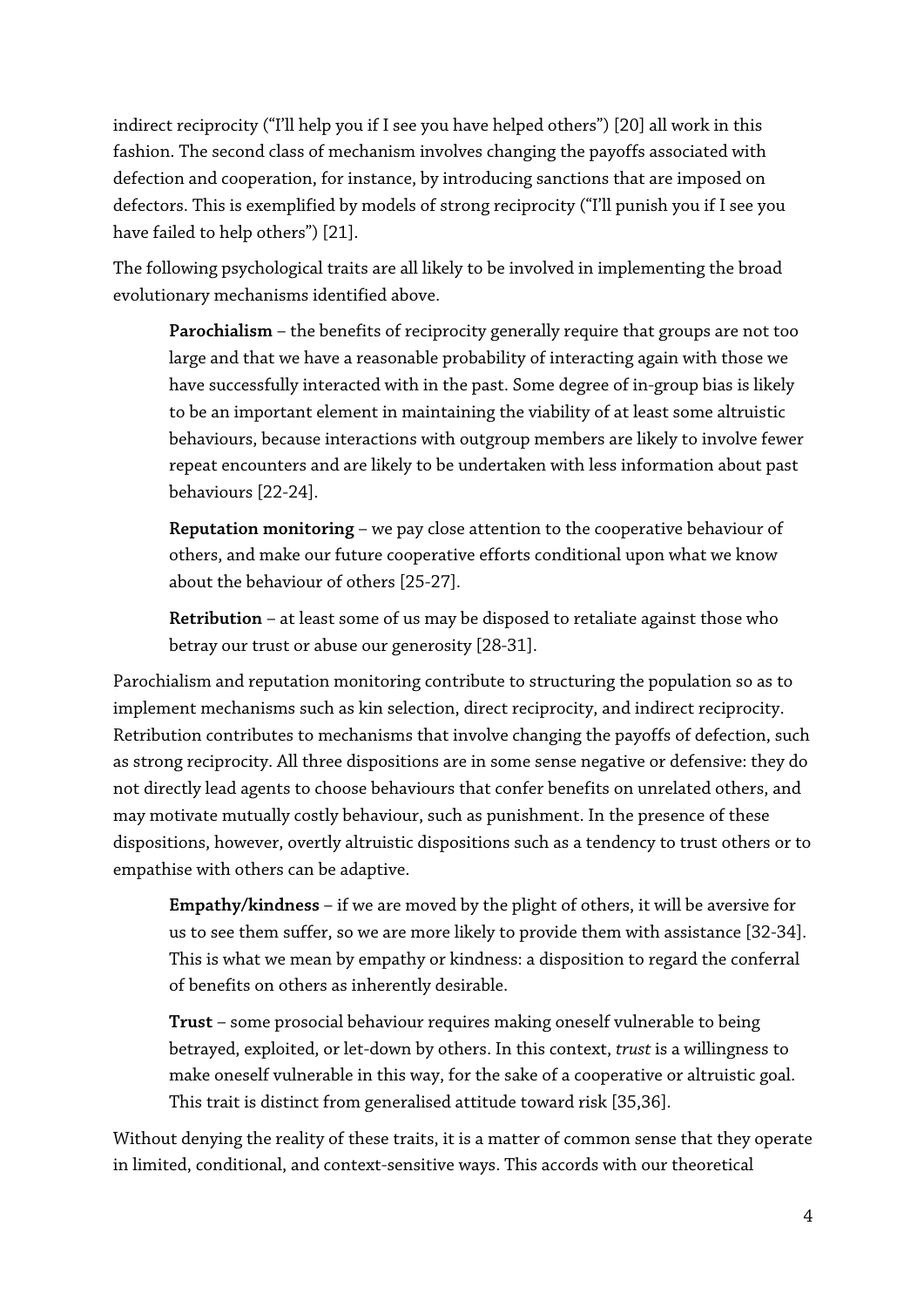indirect reciprocity ("I'll help you if I see you have helped others") [20] all work in this fashion. The second class of mechanism involves changing the payoffs associated with defection and cooperation, for instance, by introducing sanctions that are imposed on defectors. This is exemplified by models of strong reciprocity ("I'll punish you if I see you have failed to help others") [21].

The following psychological traits are all likely to be involved in implementing the broad evolutionary mechanisms identified above.

**Parochialism** – the benefits of reciprocity generally require that groups are not too large and that we have a reasonable probability of interacting again with those we have successfully interacted with in the past. Some degree of in-group bias is likely to be an important element in maintaining the viability of at least some altruistic behaviours, because interactions with outgroup members are likely to involve fewer repeat encounters and are likely to be undertaken with less information about past behaviours [22-24].

**Reputation monitoring** – we pay close attention to the cooperative behaviour of others, and make our future cooperative efforts conditional upon what we know about the behaviour of others [25-27].

**Retribution** – at least some of us may be disposed to retaliate against those who betray our trust or abuse our generosity [28-31].

Parochialism and reputation monitoring contribute to structuring the population so as to implement mechanisms such as kin selection, direct reciprocity, and indirect reciprocity. Retribution contributes to mechanisms that involve changing the payoffs of defection, such as strong reciprocity. All three dispositions are in some sense negative or defensive: they do not directly lead agents to choose behaviours that confer benefits on unrelated others, and may motivate mutually costly behaviour, such as punishment. In the presence of these dispositions, however, overtly altruistic dispositions such as a tendency to trust others or to empathise with others can be adaptive.

**Empathy/kindness** – if we are moved by the plight of others, it will be aversive for us to see them suffer, so we are more likely to provide them with assistance [32-34]. This is what we mean by empathy or kindness: a disposition to regard the conferral of benefits on others as inherently desirable.

**Trust** – some prosocial behaviour requires making oneself vulnerable to being betrayed, exploited, or let-down by others. In this context, *trust* is a willingness to make oneself vulnerable in this way, for the sake of a cooperative or altruistic goal. This trait is distinct from generalised attitude toward risk [35,36].

Without denying the reality of these traits, it is a matter of common sense that they operate in limited, conditional, and context-sensitive ways. This accords with our theoretical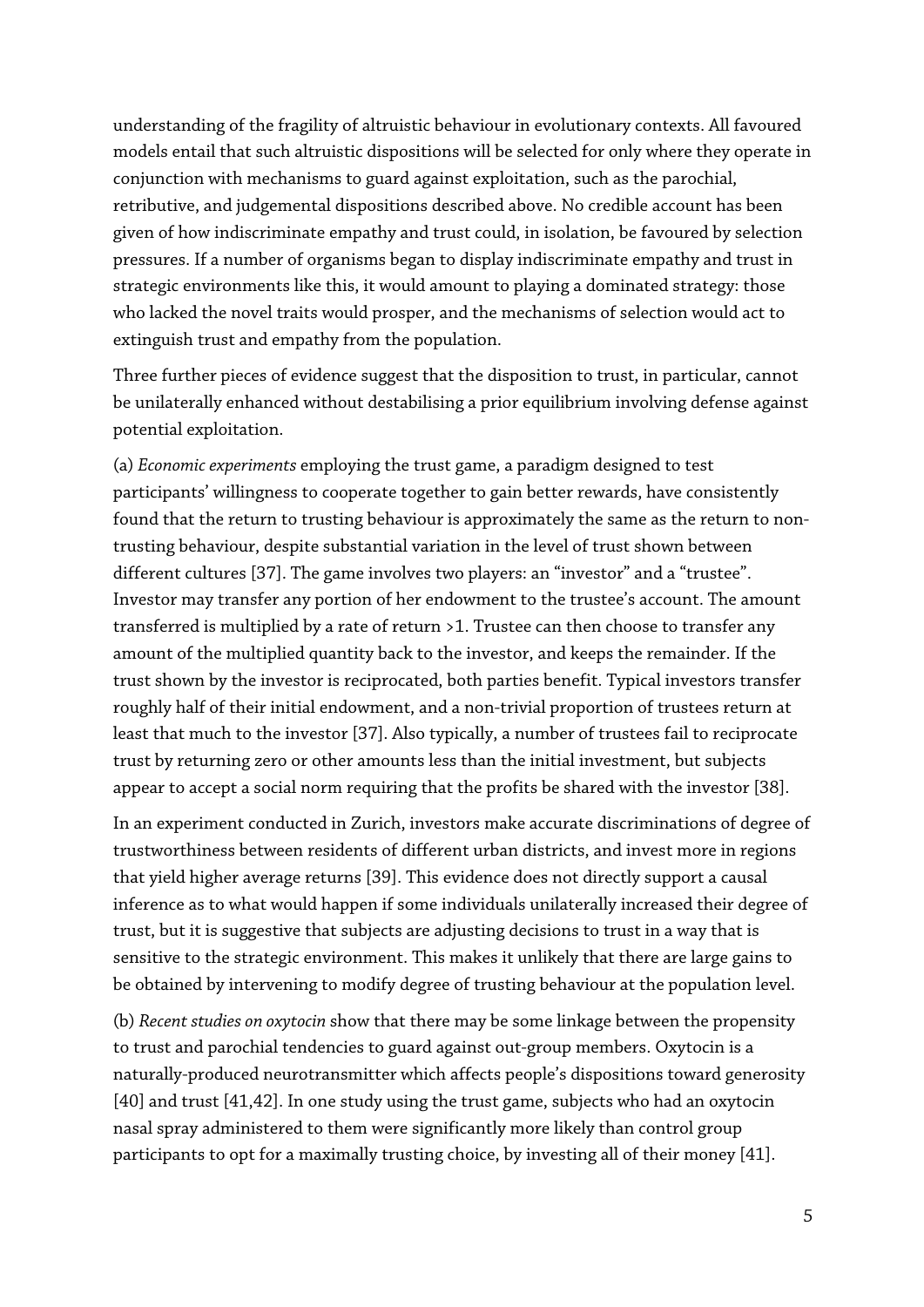understanding of the fragility of altruistic behaviour in evolutionary contexts. All favoured models entail that such altruistic dispositions will be selected for only where they operate in conjunction with mechanisms to guard against exploitation, such as the parochial, retributive, and judgemental dispositions described above. No credible account has been given of how indiscriminate empathy and trust could, in isolation, be favoured by selection pressures. If a number of organisms began to display indiscriminate empathy and trust in strategic environments like this, it would amount to playing a dominated strategy: those who lacked the novel traits would prosper, and the mechanisms of selection would act to extinguish trust and empathy from the population.

Three further pieces of evidence suggest that the disposition to trust, in particular, cannot be unilaterally enhanced without destabilising a prior equilibrium involving defense against potential exploitation.

(a) *Economic experiments* employing the trust game, a paradigm designed to test participants' willingness to cooperate together to gain better rewards, have consistently found that the return to trusting behaviour is approximately the same as the return to nontrusting behaviour, despite substantial variation in the level of trust shown between different cultures [37]. The game involves two players: an "investor" and a "trustee". Investor may transfer any portion of her endowment to the trustee's account. The amount transferred is multiplied by a rate of return >1. Trustee can then choose to transfer any amount of the multiplied quantity back to the investor, and keeps the remainder. If the trust shown by the investor is reciprocated, both parties benefit. Typical investors transfer roughly half of their initial endowment, and a non-trivial proportion of trustees return at least that much to the investor [37]. Also typically, a number of trustees fail to reciprocate trust by returning zero or other amounts less than the initial investment, but subjects appear to accept a social norm requiring that the profits be shared with the investor [38].

In an experiment conducted in Zurich, investors make accurate discriminations of degree of trustworthiness between residents of different urban districts, and invest more in regions that yield higher average returns [39]. This evidence does not directly support a causal inference as to what would happen if some individuals unilaterally increased their degree of trust, but it is suggestive that subjects are adjusting decisions to trust in a way that is sensitive to the strategic environment. This makes it unlikely that there are large gains to be obtained by intervening to modify degree of trusting behaviour at the population level.

(b) *Recent studies on oxytocin* show that there may be some linkage between the propensity to trust and parochial tendencies to guard against out-group members. Oxytocin is a naturally-produced neurotransmitter which affects people's dispositions toward generosity [40] and trust [41,42]. In one study using the trust game, subjects who had an oxytocin nasal spray administered to them were significantly more likely than control group participants to opt for a maximally trusting choice, by investing all of their money [41].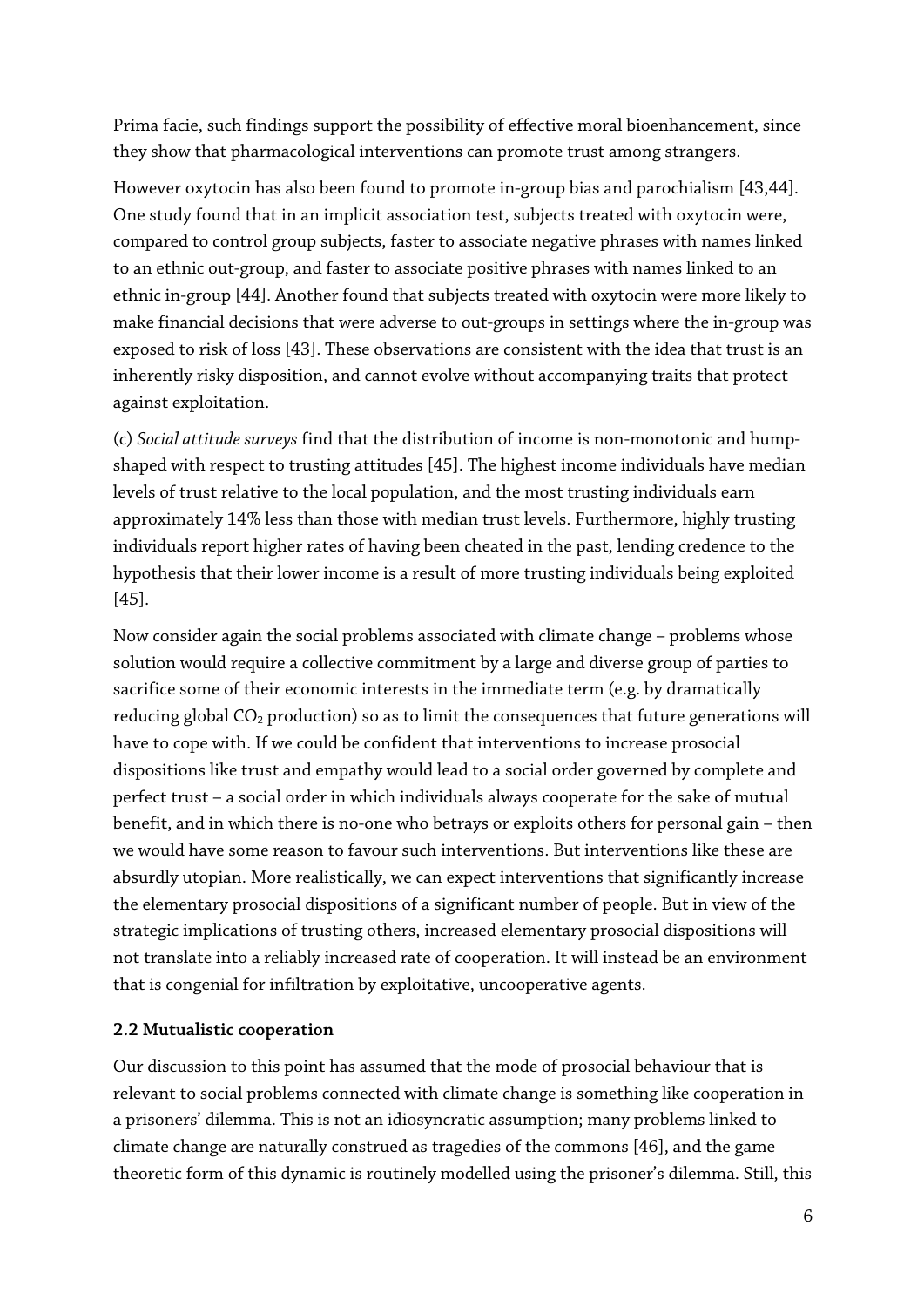Prima facie, such findings support the possibility of effective moral bioenhancement, since they show that pharmacological interventions can promote trust among strangers.

However oxytocin has also been found to promote in-group bias and parochialism [43,44]. One study found that in an implicit association test, subjects treated with oxytocin were, compared to control group subjects, faster to associate negative phrases with names linked to an ethnic out-group, and faster to associate positive phrases with names linked to an ethnic in-group [44]. Another found that subjects treated with oxytocin were more likely to make financial decisions that were adverse to out-groups in settings where the in-group was exposed to risk of loss [43]. These observations are consistent with the idea that trust is an inherently risky disposition, and cannot evolve without accompanying traits that protect against exploitation.

(c) *Social attitude surveys* find that the distribution of income is non-monotonic and humpshaped with respect to trusting attitudes [45]. The highest income individuals have median levels of trust relative to the local population, and the most trusting individuals earn approximately 14% less than those with median trust levels. Furthermore, highly trusting individuals report higher rates of having been cheated in the past, lending credence to the hypothesis that their lower income is a result of more trusting individuals being exploited [45].

Now consider again the social problems associated with climate change – problems whose solution would require a collective commitment by a large and diverse group of parties to sacrifice some of their economic interests in the immediate term (e.g. by dramatically reducing global  $CO<sub>2</sub>$  production) so as to limit the consequences that future generations will have to cope with. If we could be confident that interventions to increase prosocial dispositions like trust and empathy would lead to a social order governed by complete and perfect trust – a social order in which individuals always cooperate for the sake of mutual benefit, and in which there is no-one who betrays or exploits others for personal gain – then we would have some reason to favour such interventions. But interventions like these are absurdly utopian. More realistically, we can expect interventions that significantly increase the elementary prosocial dispositions of a significant number of people. But in view of the strategic implications of trusting others, increased elementary prosocial dispositions will not translate into a reliably increased rate of cooperation. It will instead be an environment that is congenial for infiltration by exploitative, uncooperative agents.

#### **2.2 Mutualistic cooperation**

Our discussion to this point has assumed that the mode of prosocial behaviour that is relevant to social problems connected with climate change is something like cooperation in a prisoners' dilemma. This is not an idiosyncratic assumption; many problems linked to climate change are naturally construed as tragedies of the commons [46], and the game theoretic form of this dynamic is routinely modelled using the prisoner's dilemma. Still, this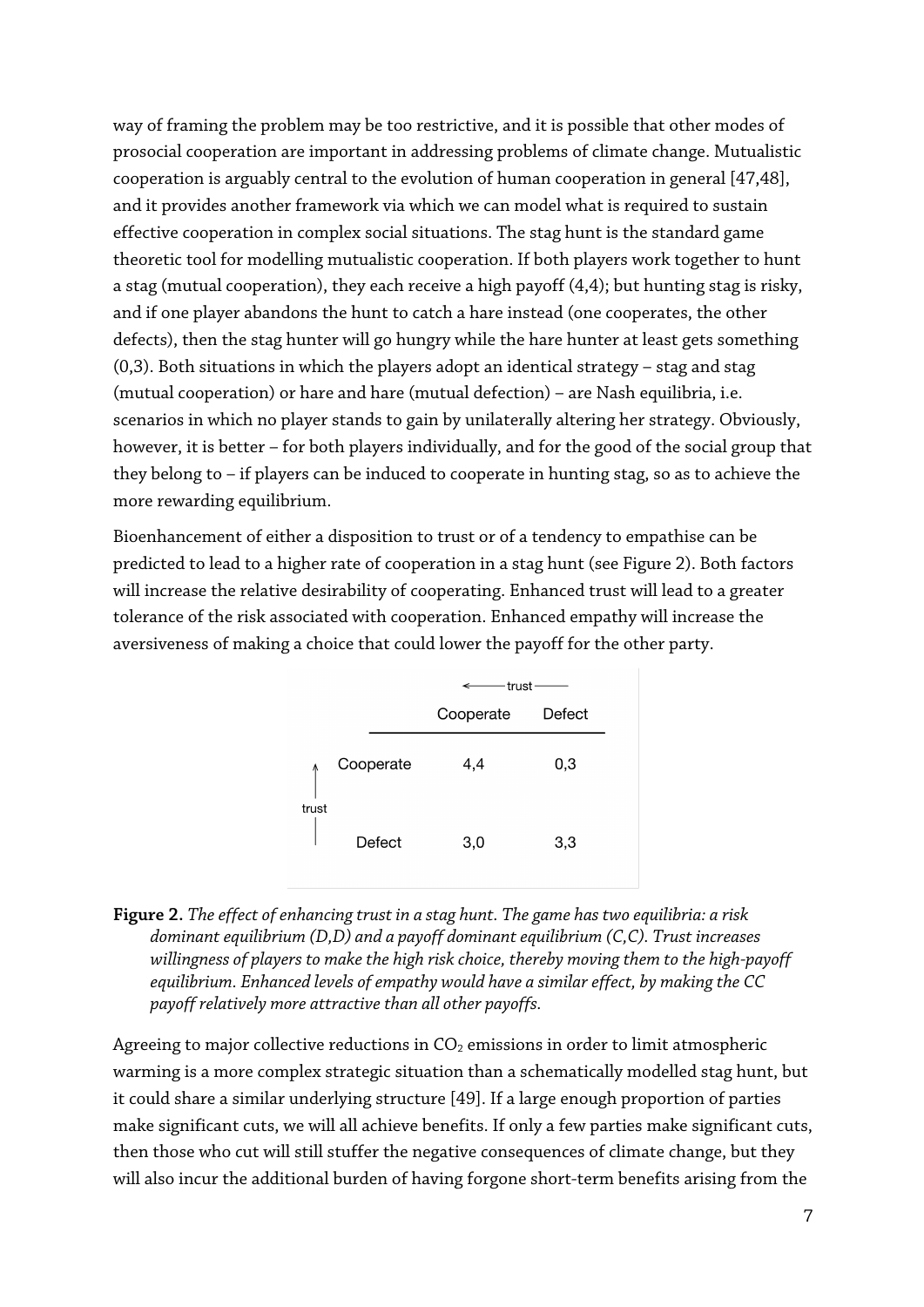way of framing the problem may be too restrictive, and it is possible that other modes of prosocial cooperation are important in addressing problems of climate change. Mutualistic cooperation is arguably central to the evolution of human cooperation in general [47,48], and it provides another framework via which we can model what is required to sustain effective cooperation in complex social situations. The stag hunt is the standard game theoretic tool for modelling mutualistic cooperation. If both players work together to hunt a stag (mutual cooperation), they each receive a high payoff (4,4); but hunting stag is risky, and if one player abandons the hunt to catch a hare instead (one cooperates, the other defects), then the stag hunter will go hungry while the hare hunter at least gets something (0,3). Both situations in which the players adopt an identical strategy – stag and stag (mutual cooperation) or hare and hare (mutual defection) – are Nash equilibria, i.e. scenarios in which no player stands to gain by unilaterally altering her strategy. Obviously, however, it is better – for both players individually, and for the good of the social group that they belong to – if players can be induced to cooperate in hunting stag, so as to achieve the more rewarding equilibrium.

Bioenhancement of either a disposition to trust or of a tendency to empathise can be predicted to lead to a higher rate of cooperation in a stag hunt (see Figure 2). Both factors will increase the relative desirability of cooperating. Enhanced trust will lead to a greater tolerance of the risk associated with cooperation. Enhanced empathy will increase the aversiveness of making a choice that could lower the payoff for the other party.

|       |           | -trust —  |        |  |
|-------|-----------|-----------|--------|--|
|       |           | Cooperate | Defect |  |
| trust | Cooperate | 4,4       | 0,3    |  |
|       | Defect    | 3,0       | 3,3    |  |

**Figure 2.** *The effect of enhancing trust in a stag hunt. The game has two equilibria: a risk dominant equilibrium (D,D) and a payoff dominant equilibrium (C,C). Trust increases willingness of players to make the high risk choice, thereby moving them to the high-payoff equilibrium. Enhanced levels of empathy would have a similar effect, by making the CC payoff relatively more attractive than all other payoffs.*

Agreeing to major collective reductions in  $CO<sub>2</sub>$  emissions in order to limit atmospheric warming is a more complex strategic situation than a schematically modelled stag hunt, but it could share a similar underlying structure [49]. If a large enough proportion of parties make significant cuts, we will all achieve benefits. If only a few parties make significant cuts, then those who cut will still stuffer the negative consequences of climate change, but they will also incur the additional burden of having forgone short-term benefits arising from the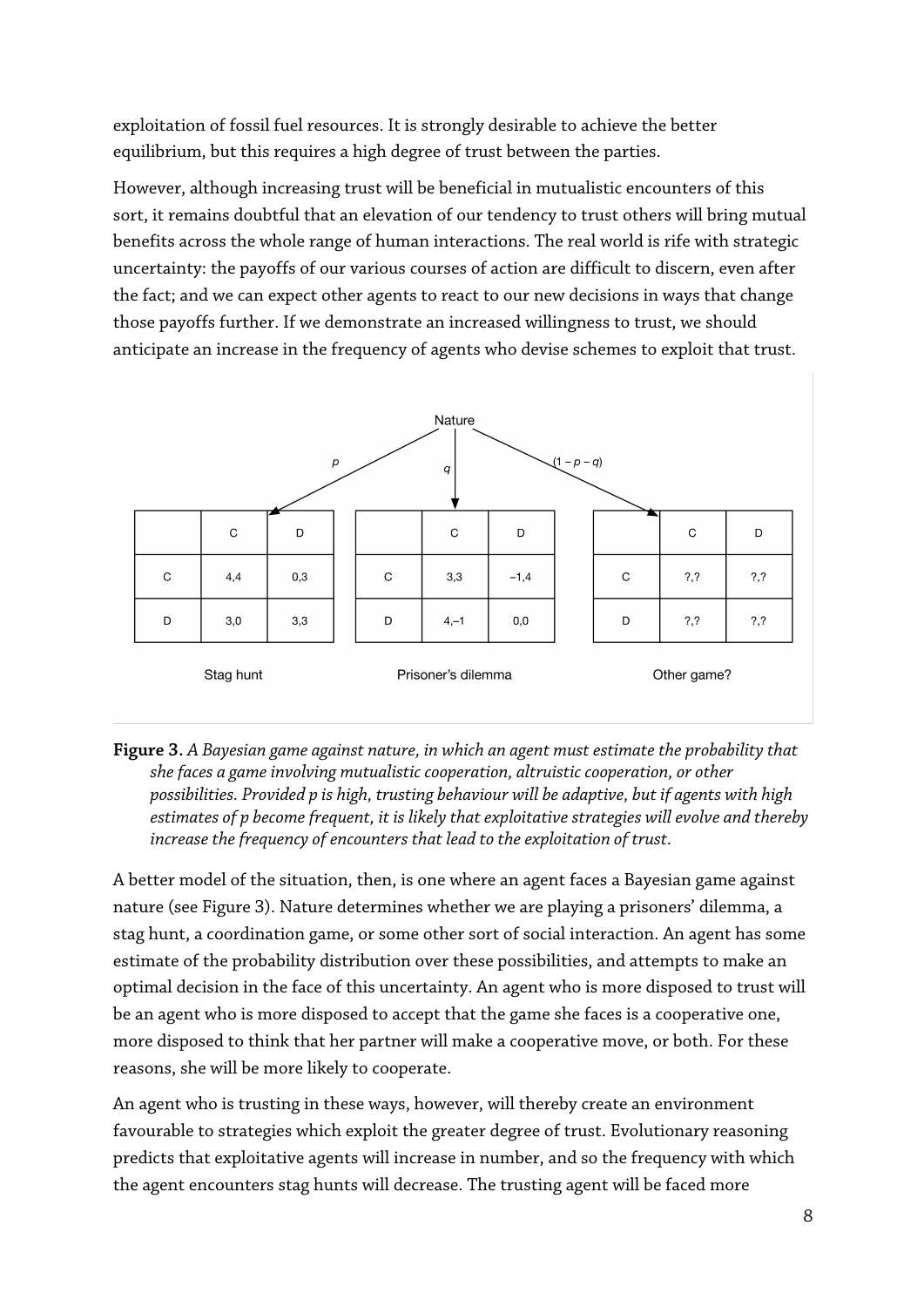exploitation of fossil fuel resources. It is strongly desirable to achieve the better equilibrium, but this requires a high degree of trust between the parties.

However, although increasing trust will be beneficial in mutualistic encounters of this sort, it remains doubtful that an elevation of our tendency to trust others will bring mutual benefits across the whole range of human interactions. The real world is rife with strategic uncertainty: the payoffs of our various courses of action are difficult to discern, even after the fact; and we can expect other agents to react to our new decisions in ways that change those payoffs further. If we demonstrate an increased willingness to trust, we should anticipate an increase in the frequency of agents who devise schemes to exploit that trust.



**Figure 3.** *A Bayesian game against nature, in which an agent must estimate the probability that she faces a game involving mutualistic cooperation, altruistic cooperation, or other possibilities. Provided p is high, trusting behaviour will be adaptive, but if agents with high estimates of p become frequent, it is likely that exploitative strategies will evolve and thereby increase the frequency of encounters that lead to the exploitation of trust.*

A better model of the situation, then, is one where an agent faces a Bayesian game against nature (see Figure 3). Nature determines whether we are playing a prisoners' dilemma, a stag hunt, a coordination game, or some other sort of social interaction. An agent has some estimate of the probability distribution over these possibilities, and attempts to make an optimal decision in the face of this uncertainty. An agent who is more disposed to trust will be an agent who is more disposed to accept that the game she faces is a cooperative one, more disposed to think that her partner will make a cooperative move, or both. For these reasons, she will be more likely to cooperate.

An agent who is trusting in these ways, however, will thereby create an environment favourable to strategies which exploit the greater degree of trust. Evolutionary reasoning predicts that exploitative agents will increase in number, and so the frequency with which the agent encounters stag hunts will decrease. The trusting agent will be faced more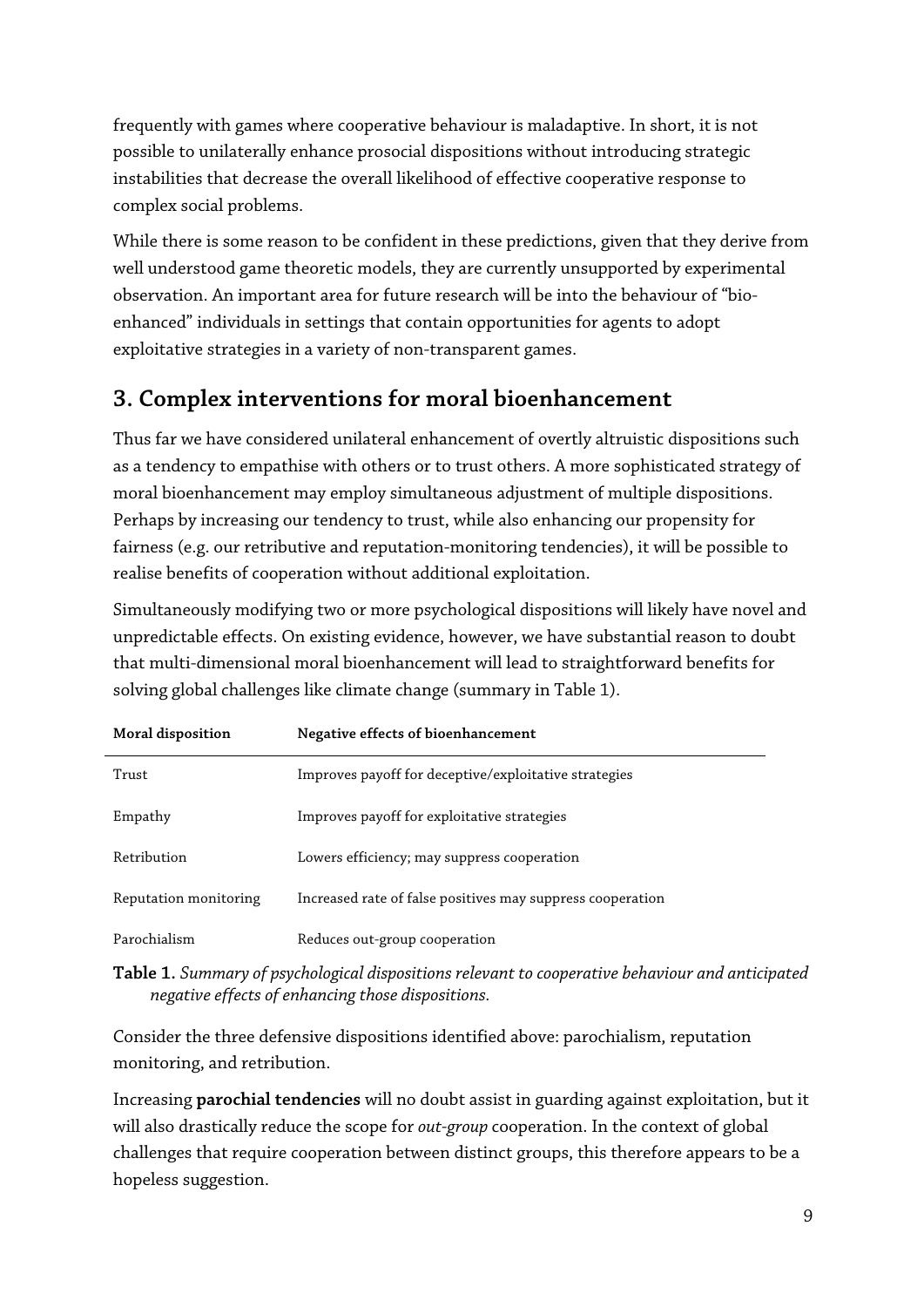frequently with games where cooperative behaviour is maladaptive. In short, it is not possible to unilaterally enhance prosocial dispositions without introducing strategic instabilities that decrease the overall likelihood of effective cooperative response to complex social problems.

While there is some reason to be confident in these predictions, given that they derive from well understood game theoretic models, they are currently unsupported by experimental observation. An important area for future research will be into the behaviour of "bioenhanced" individuals in settings that contain opportunities for agents to adopt exploitative strategies in a variety of non-transparent games.

# **3. Complex interventions for moral bioenhancement**

Thus far we have considered unilateral enhancement of overtly altruistic dispositions such as a tendency to empathise with others or to trust others. A more sophisticated strategy of moral bioenhancement may employ simultaneous adjustment of multiple dispositions. Perhaps by increasing our tendency to trust, while also enhancing our propensity for fairness (e.g. our retributive and reputation-monitoring tendencies), it will be possible to realise benefits of cooperation without additional exploitation.

Simultaneously modifying two or more psychological dispositions will likely have novel and unpredictable effects. On existing evidence, however, we have substantial reason to doubt that multi-dimensional moral bioenhancement will lead to straightforward benefits for solving global challenges like climate change (summary in Table 1).

| Moral disposition     | Negative effects of bioenhancement                         |
|-----------------------|------------------------------------------------------------|
| Trust                 | Improves payoff for deceptive/exploitative strategies      |
| Empathy               | Improves payoff for exploitative strategies                |
| Retribution           | Lowers efficiency; may suppress cooperation                |
| Reputation monitoring | Increased rate of false positives may suppress cooperation |
| Parochialism          | Reduces out-group cooperation                              |

**Table 1.** *Summary of psychological dispositions relevant to cooperative behaviour and anticipated negative effects of enhancing those dispositions.*

Consider the three defensive dispositions identified above: parochialism, reputation monitoring, and retribution.

Increasing **parochial tendencies** will no doubt assist in guarding against exploitation, but it will also drastically reduce the scope for *out-group* cooperation. In the context of global challenges that require cooperation between distinct groups, this therefore appears to be a hopeless suggestion.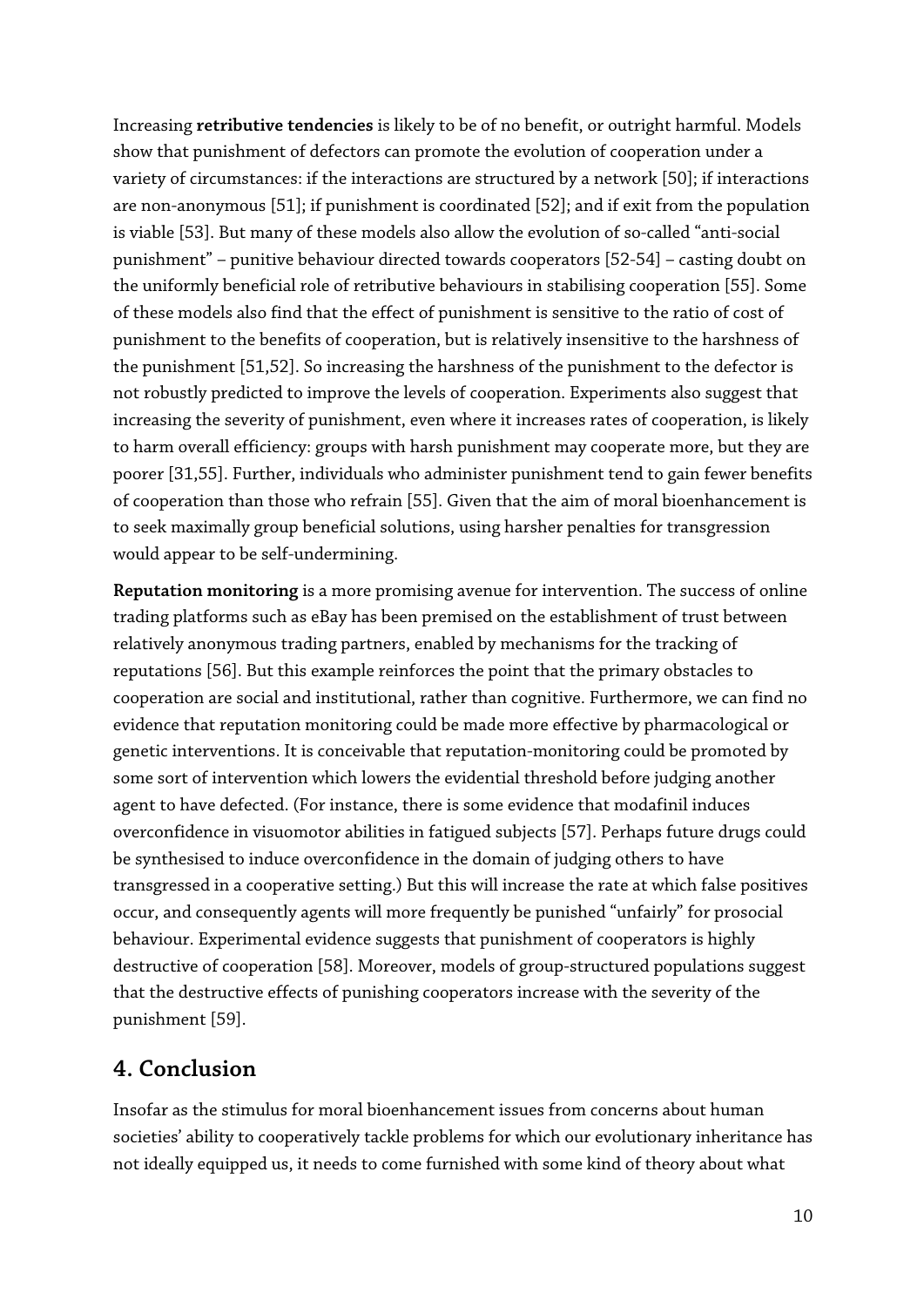Increasing **retributive tendencies** is likely to be of no benefit, or outright harmful. Models show that punishment of defectors can promote the evolution of cooperation under a variety of circumstances: if the interactions are structured by a network [50]; if interactions are non-anonymous [51]; if punishment is coordinated [52]; and if exit from the population is viable [53]. But many of these models also allow the evolution of so-called "anti-social punishment" – punitive behaviour directed towards cooperators [52-54] – casting doubt on the uniformly beneficial role of retributive behaviours in stabilising cooperation [55]. Some of these models also find that the effect of punishment is sensitive to the ratio of cost of punishment to the benefits of cooperation, but is relatively insensitive to the harshness of the punishment [51,52]. So increasing the harshness of the punishment to the defector is not robustly predicted to improve the levels of cooperation. Experiments also suggest that increasing the severity of punishment, even where it increases rates of cooperation, is likely to harm overall efficiency: groups with harsh punishment may cooperate more, but they are poorer [31,55]. Further, individuals who administer punishment tend to gain fewer benefits of cooperation than those who refrain [55]. Given that the aim of moral bioenhancement is to seek maximally group beneficial solutions, using harsher penalties for transgression would appear to be self-undermining.

**Reputation monitoring** is a more promising avenue for intervention. The success of online trading platforms such as eBay has been premised on the establishment of trust between relatively anonymous trading partners, enabled by mechanisms for the tracking of reputations [56]. But this example reinforces the point that the primary obstacles to cooperation are social and institutional, rather than cognitive. Furthermore, we can find no evidence that reputation monitoring could be made more effective by pharmacological or genetic interventions. It is conceivable that reputation-monitoring could be promoted by some sort of intervention which lowers the evidential threshold before judging another agent to have defected. (For instance, there is some evidence that modafinil induces overconfidence in visuomotor abilities in fatigued subjects [57]. Perhaps future drugs could be synthesised to induce overconfidence in the domain of judging others to have transgressed in a cooperative setting.) But this will increase the rate at which false positives occur, and consequently agents will more frequently be punished "unfairly" for prosocial behaviour. Experimental evidence suggests that punishment of cooperators is highly destructive of cooperation [58]. Moreover, models of group-structured populations suggest that the destructive effects of punishing cooperators increase with the severity of the punishment [59].

## **4. Conclusion**

Insofar as the stimulus for moral bioenhancement issues from concerns about human societies' ability to cooperatively tackle problems for which our evolutionary inheritance has not ideally equipped us, it needs to come furnished with some kind of theory about what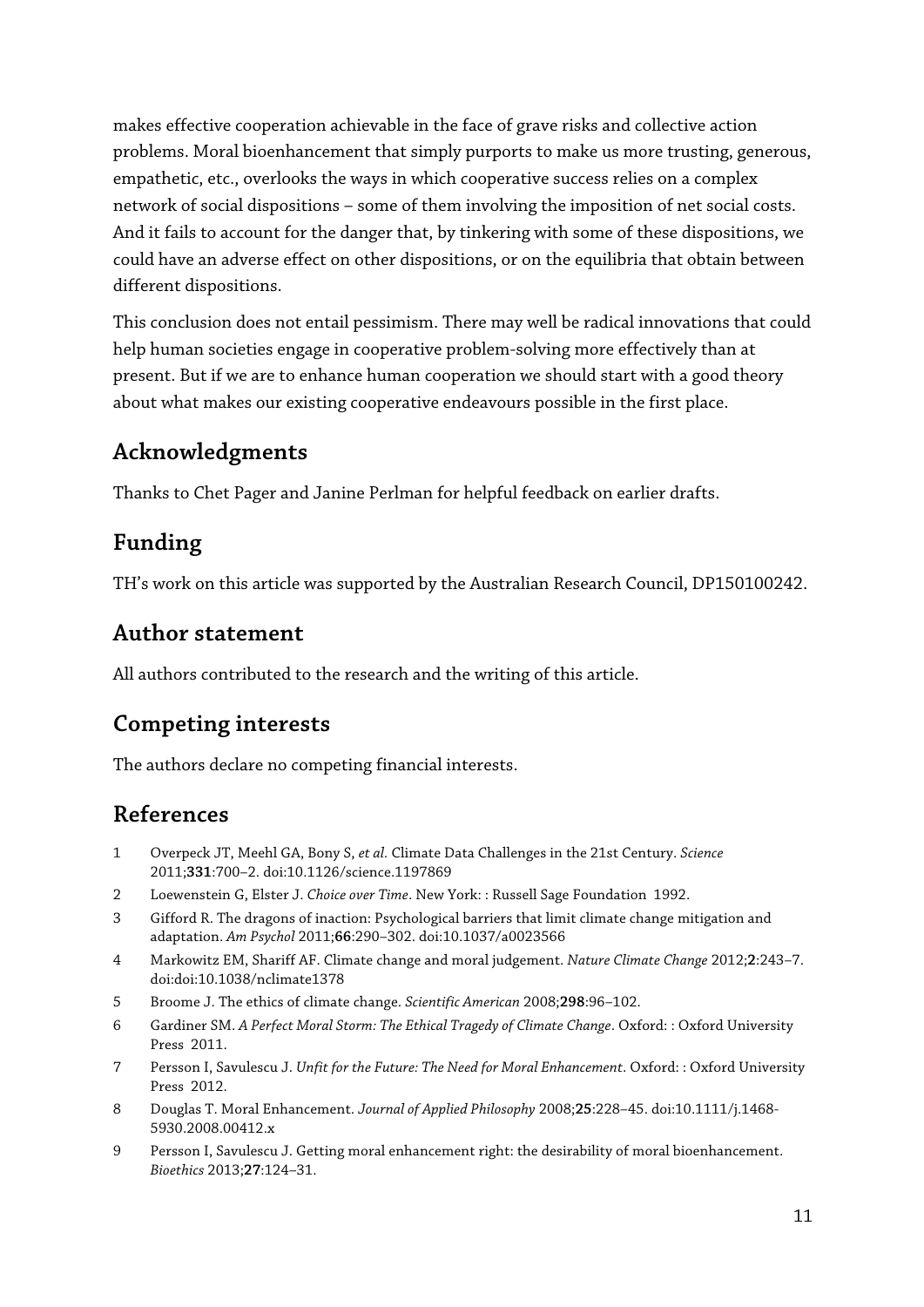makes effective cooperation achievable in the face of grave risks and collective action problems. Moral bioenhancement that simply purports to make us more trusting, generous, empathetic, etc., overlooks the ways in which cooperative success relies on a complex network of social dispositions – some of them involving the imposition of net social costs. And it fails to account for the danger that, by tinkering with some of these dispositions, we could have an adverse effect on other dispositions, or on the equilibria that obtain between different dispositions.

This conclusion does not entail pessimism. There may well be radical innovations that could help human societies engage in cooperative problem-solving more effectively than at present. But if we are to enhance human cooperation we should start with a good theory about what makes our existing cooperative endeavours possible in the first place.

# **Acknowledgments**

Thanks to Chet Pager and Janine Perlman for helpful feedback on earlier drafts.

# **Funding**

TH's work on this article was supported by the Australian Research Council, DP150100242.

## **Author statement**

All authors contributed to the research and the writing of this article.

# **Competing interests**

The authors declare no competing financial interests.

# **References**

- 1 Overpeck JT, Meehl GA, Bony S, *et al.* Climate Data Challenges in the 21st Century. *Science* 2011;**331**:700–2. doi:10.1126/science.1197869
- 2 Loewenstein G, Elster J. *Choice over Time*. New York: : Russell Sage Foundation 1992.
- 3 Gifford R. The dragons of inaction: Psychological barriers that limit climate change mitigation and adaptation. *Am Psychol* 2011;**66**:290–302. doi:10.1037/a0023566
- 4 Markowitz EM, Shariff AF. Climate change and moral judgement. *Nature Climate Change* 2012;**2**:243–7. doi:doi:10.1038/nclimate1378
- 5 Broome J. The ethics of climate change. *Scientific American* 2008;**298**:96–102.
- 6 Gardiner SM. *A Perfect Moral Storm: The Ethical Tragedy of Climate Change*. Oxford: : Oxford University Press 2011.
- 7 Persson I, Savulescu J. *Unfit for the Future: The Need for Moral Enhancement*. Oxford: : Oxford University Press 2012.
- 8 Douglas T. Moral Enhancement. *Journal of Applied Philosophy* 2008;**25**:228–45. doi:10.1111/j.1468- 5930.2008.00412.x
- 9 Persson I, Savulescu J. Getting moral enhancement right: the desirability of moral bioenhancement. *Bioethics* 2013;**27**:124–31.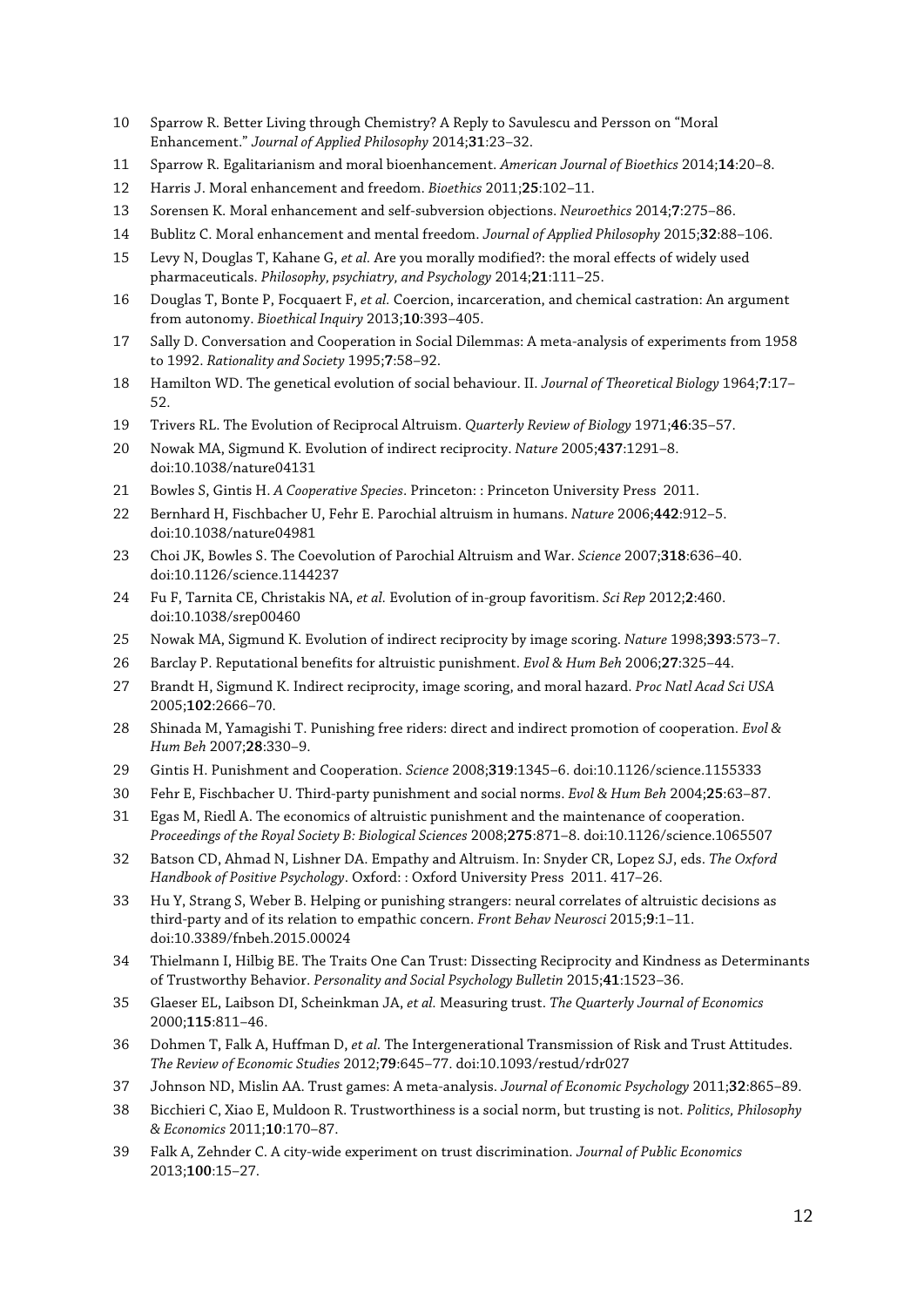- Sparrow R. Better Living through Chemistry? A Reply to Savulescu and Persson on "Moral Enhancement." *Journal of Applied Philosophy* 2014;**31**:23–32.
- Sparrow R. Egalitarianism and moral bioenhancement. *American Journal of Bioethics* 2014;**14**:20–8.
- Harris J. Moral enhancement and freedom. *Bioethics* 2011;**25**:102–11.
- Sorensen K. Moral enhancement and self-subversion objections. *Neuroethics* 2014;**7**:275–86.
- Bublitz C. Moral enhancement and mental freedom. *Journal of Applied Philosophy* 2015;**32**:88–106.
- Levy N, Douglas T, Kahane G, *et al.* Are you morally modified?: the moral effects of widely used pharmaceuticals. *Philosophy, psychiatry, and Psychology* 2014;**21**:111–25.
- Douglas T, Bonte P, Focquaert F, *et al.* Coercion, incarceration, and chemical castration: An argument from autonomy. *Bioethical Inquiry* 2013;**10**:393–405.
- Sally D. Conversation and Cooperation in Social Dilemmas: A meta-analysis of experiments from 1958 to 1992. *Rationality and Society* 1995;**7**:58–92.
- Hamilton WD. The genetical evolution of social behaviour. II. *Journal of Theoretical Biology* 1964;**7**:17– 52.
- Trivers RL. The Evolution of Reciprocal Altruism. *Quarterly Review of Biology* 1971;**46**:35–57.
- Nowak MA, Sigmund K. Evolution of indirect reciprocity. *Nature* 2005;**437**:1291–8. doi:10.1038/nature04131
- Bowles S, Gintis H. *A Cooperative Species*. Princeton: : Princeton University Press 2011.
- Bernhard H, Fischbacher U, Fehr E. Parochial altruism in humans. *Nature* 2006;**442**:912–5. doi:10.1038/nature04981
- Choi JK, Bowles S. The Coevolution of Parochial Altruism and War. *Science* 2007;**318**:636–40. doi:10.1126/science.1144237
- Fu F, Tarnita CE, Christakis NA, *et al.* Evolution of in-group favoritism. *Sci Rep* 2012;**2**:460. doi:10.1038/srep00460
- Nowak MA, Sigmund K. Evolution of indirect reciprocity by image scoring. *Nature* 1998;**393**:573–7.
- Barclay P. Reputational benefits for altruistic punishment. *Evol & Hum Beh* 2006;**27**:325–44.
- Brandt H, Sigmund K. Indirect reciprocity, image scoring, and moral hazard. *Proc Natl Acad Sci USA* 2005;**102**:2666–70.
- Shinada M, Yamagishi T. Punishing free riders: direct and indirect promotion of cooperation. *Evol & Hum Beh* 2007;**28**:330–9.
- Gintis H. Punishment and Cooperation. *Science* 2008;**319**:1345–6. doi:10.1126/science.1155333
- Fehr E, Fischbacher U. Third-party punishment and social norms. *Evol & Hum Beh* 2004;**25**:63–87.
- Egas M, Riedl A. The economics of altruistic punishment and the maintenance of cooperation. *Proceedings of the Royal Society B: Biological Sciences* 2008;**275**:871–8. doi:10.1126/science.1065507
- Batson CD, Ahmad N, Lishner DA. Empathy and Altruism. In: Snyder CR, Lopez SJ, eds. *The Oxford Handbook of Positive Psychology*. Oxford: : Oxford University Press 2011. 417–26.
- Hu Y, Strang S, Weber B. Helping or punishing strangers: neural correlates of altruistic decisions as third-party and of its relation to empathic concern. *Front Behav Neurosci* 2015;**9**:1–11. doi:10.3389/fnbeh.2015.00024
- Thielmann I, Hilbig BE. The Traits One Can Trust: Dissecting Reciprocity and Kindness as Determinants of Trustworthy Behavior. *Personality and Social Psychology Bulletin* 2015;**41**:1523–36.
- Glaeser EL, Laibson DI, Scheinkman JA, *et al.* Measuring trust. *The Quarterly Journal of Economics* 2000;**115**:811–46.
- Dohmen T, Falk A, Huffman D, *et al.* The Intergenerational Transmission of Risk and Trust Attitudes. *The Review of Economic Studies* 2012;**79**:645–77. doi:10.1093/restud/rdr027
- Johnson ND, Mislin AA. Trust games: A meta-analysis. *Journal of Economic Psychology* 2011;**32**:865–89.
- Bicchieri C, Xiao E, Muldoon R. Trustworthiness is a social norm, but trusting is not. *Politics, Philosophy & Economics* 2011;**10**:170–87.
- Falk A, Zehnder C. A city-wide experiment on trust discrimination. *Journal of Public Economics* 2013;**100**:15–27.